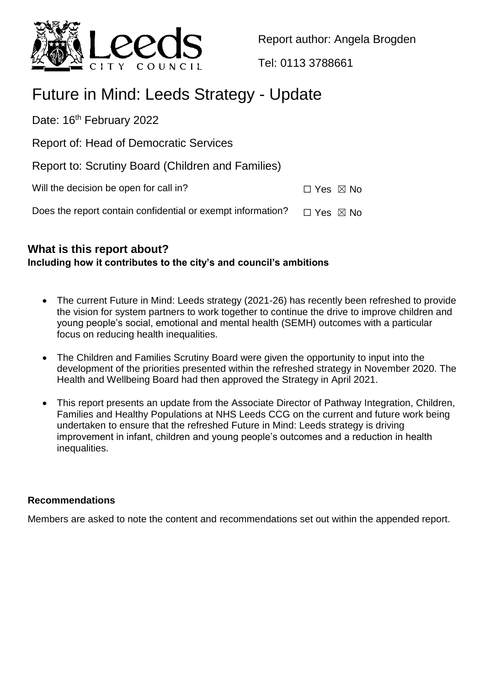

Report author: Angela Brogden

Tel: 0113 3788661

# Future in Mind: Leeds Strategy - Update

Date: 16<sup>th</sup> February 2022

Report of: Head of Democratic Services

Report to: Scrutiny Board (Children and Families)

Will the decision be open for call in?  $\Box$  Yes  $\boxtimes$  No

Does the report contain confidential or exempt information?  $\Box$  Yes  $\boxtimes$  No

# **What is this report about? Including how it contributes to the city's and council's ambitions**

- The current Future in Mind: Leeds strategy (2021-26) has recently been refreshed to provide the vision for system partners to work together to continue the drive to improve children and young people's social, emotional and mental health (SEMH) outcomes with a particular focus on reducing health inequalities.
- The Children and Families Scrutiny Board were given the opportunity to input into the development of the priorities presented within the refreshed strategy in November 2020. The Health and Wellbeing Board had then approved the Strategy in April 2021.
- This report presents an update from the Associate Director of Pathway Integration, Children, Families and Healthy Populations at NHS Leeds CCG on the current and future work being undertaken to ensure that the refreshed Future in Mind: Leeds strategy is driving improvement in infant, children and young people's outcomes and a reduction in health inequalities.

## **Recommendations**

Members are asked to note the content and recommendations set out within the appended report.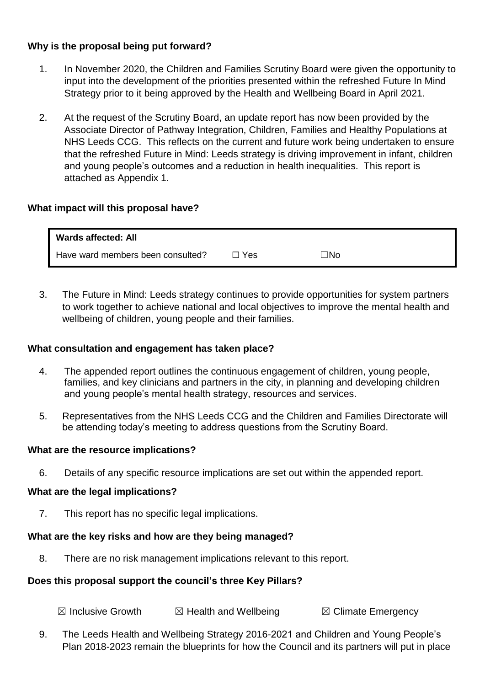# **Why is the proposal being put forward?**

- 1. In November 2020, the Children and Families Scrutiny Board were given the opportunity to input into the development of the priorities presented within the refreshed Future In Mind Strategy prior to it being approved by the Health and Wellbeing Board in April 2021.
- 2. At the request of the Scrutiny Board, an update report has now been provided by the Associate Director of Pathway Integration, Children, Families and Healthy Populations at NHS Leeds CCG. This reflects on the current and future work being undertaken to ensure that the refreshed Future in Mind: Leeds strategy is driving improvement in infant, children and young people's outcomes and a reduction in health inequalities. This report is attached as Appendix 1.

## **What impact will this proposal have?**

| Wards affected: All               |       |     |
|-----------------------------------|-------|-----|
| Have ward members been consulted? | ∃ Yes | ⊤No |

3. The Future in Mind: Leeds strategy continues to provide opportunities for system partners to work together to achieve national and local objectives to improve the mental health and wellbeing of children, young people and their families.

#### **What consultation and engagement has taken place?**

- 4. The appended report outlines the continuous engagement of children, young people, families, and key clinicians and partners in the city, in planning and developing children and young people's mental health strategy, resources and services.
- 5. Representatives from the NHS Leeds CCG and the Children and Families Directorate will be attending today's meeting to address questions from the Scrutiny Board.

#### **What are the resource implications?**

6. Details of any specific resource implications are set out within the appended report.

#### **What are the legal implications?**

7. This report has no specific legal implications.

#### **What are the key risks and how are they being managed?**

8. There are no risk management implications relevant to this report.

## **Does this proposal support the council's three Key Pillars?**

 $\boxtimes$  Inclusive Growth  $\boxtimes$  Health and Wellbeing  $\boxtimes$  Climate Emergency

9. The Leeds Health and Wellbeing Strategy 2016-2021 and Children and Young People's Plan 2018-2023 remain the blueprints for how the Council and its partners will put in place